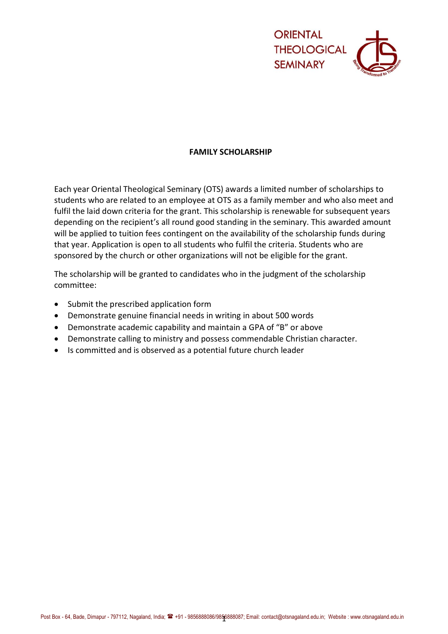

## **FAMILY SCHOLARSHIP**

Each year Oriental Theological Seminary (OTS) awards a limited number of scholarships to students who are related to an employee at OTS as a family member and who also meet and fulfil the laid down criteria for the grant. This scholarship is renewable for subsequent years depending on the recipient's all round good standing in the seminary. This awarded amount will be applied to tuition fees contingent on the availability of the scholarship funds during that year. Application is open to all students who fulfil the criteria. Students who are sponsored by the church or other organizations will not be eligible for the grant.

The scholarship will be granted to candidates who in the judgment of the scholarship committee:

- Submit the prescribed application form
- Demonstrate genuine financial needs in writing in about 500 words
- Demonstrate academic capability and maintain a GPA of "B" or above
- Demonstrate calling to ministry and possess commendable Christian character.
- Is committed and is observed as a potential future church leader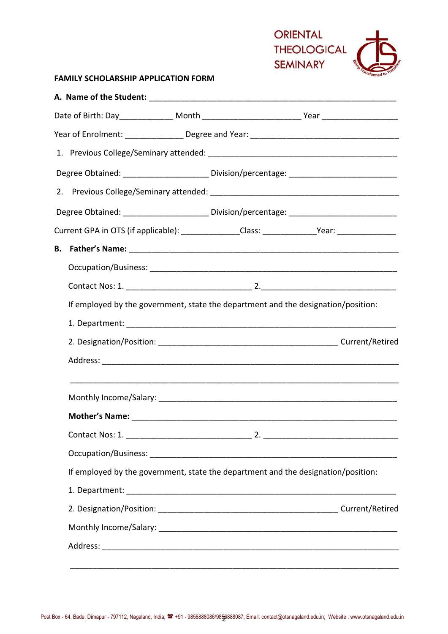

## **FAMILY SCHOLARSHIP APPLICATION FORM**

|  |                                                                                   |  |  | Degree Obtained: _______________________ Division/percentage: ___________________                   |  |  |
|--|-----------------------------------------------------------------------------------|--|--|-----------------------------------------------------------------------------------------------------|--|--|
|  |                                                                                   |  |  |                                                                                                     |  |  |
|  |                                                                                   |  |  | Degree Obtained: _______________________ Division/percentage: ___________________                   |  |  |
|  |                                                                                   |  |  | Current GPA in OTS (if applicable): _______________Class: _______________Year: ____________________ |  |  |
|  |                                                                                   |  |  |                                                                                                     |  |  |
|  |                                                                                   |  |  |                                                                                                     |  |  |
|  |                                                                                   |  |  |                                                                                                     |  |  |
|  | If employed by the government, state the department and the designation/position: |  |  |                                                                                                     |  |  |
|  |                                                                                   |  |  |                                                                                                     |  |  |
|  |                                                                                   |  |  |                                                                                                     |  |  |
|  |                                                                                   |  |  |                                                                                                     |  |  |
|  |                                                                                   |  |  |                                                                                                     |  |  |
|  |                                                                                   |  |  |                                                                                                     |  |  |
|  |                                                                                   |  |  |                                                                                                     |  |  |
|  |                                                                                   |  |  |                                                                                                     |  |  |
|  | If employed by the government, state the department and the designation/position: |  |  |                                                                                                     |  |  |
|  |                                                                                   |  |  |                                                                                                     |  |  |
|  |                                                                                   |  |  |                                                                                                     |  |  |
|  |                                                                                   |  |  |                                                                                                     |  |  |
|  |                                                                                   |  |  |                                                                                                     |  |  |
|  |                                                                                   |  |  |                                                                                                     |  |  |